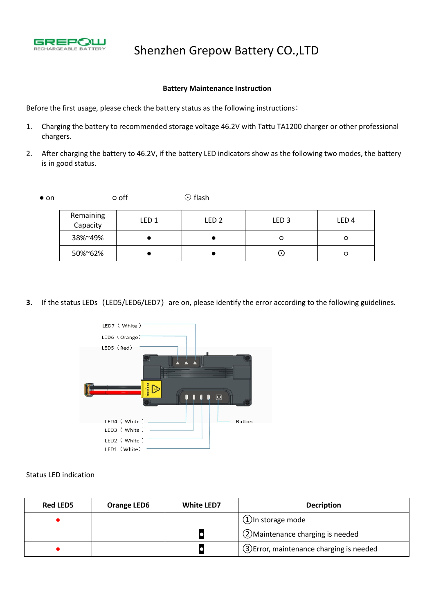

## Shenzhen Grepow Battery CO.,LTD

#### **Battery Maintenance Instruction**

Before the first usage, please check the battery status as the following instructions:

- 1. Charging the battery to recommended storage voltage 46.2V with Tattu TA1200 charger or other professional chargers.
- 2. After charging the battery to 46.2V, if the battery LED indicators show as the following two modes, the battery is in good status.● on ○ off <sup>⊙</sup> flash

| Remaining<br>Capacity | LED 1 | LED <sub>2</sub> | LED <sub>3</sub> | LED <sub>4</sub> |
|-----------------------|-------|------------------|------------------|------------------|
| 38%~49%               |       |                  |                  | O                |
| 50%~62%               |       |                  | ၑ                | O                |

**3.** If the status LEDs (LED5/LED6/LED7) are on, please identify the error according to the following guidelines.



### Status LED indication

| <b>Red LED5</b> | <b>Orange LED6</b> | <b>White LED7</b> | <b>Decription</b>                         |  |
|-----------------|--------------------|-------------------|-------------------------------------------|--|
|                 |                    |                   | $(1)$ In storage mode                     |  |
|                 |                    |                   | (2) Maintenance charging is needed        |  |
|                 |                    |                   | (3) Error, maintenance charging is needed |  |